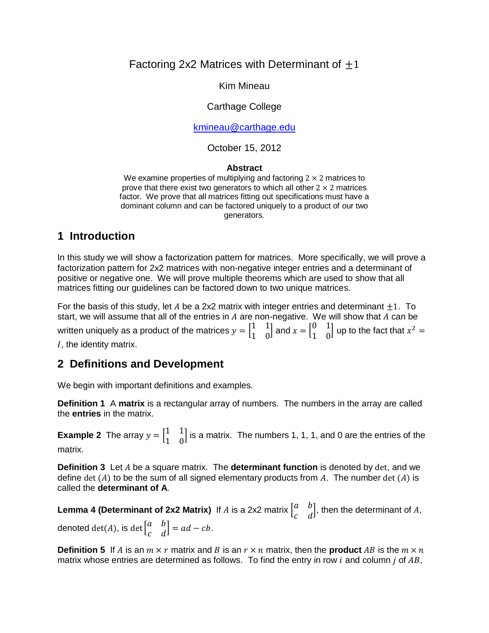#### Factoring 2x2 Matrices with Determinant of  $\pm 1$

Kim Mineau

#### Carthage College

[kmineau@carthage.edu](mailto:kmineau@carthage.edu)

October 15, 2012

#### **Abstract**

We examine properties of multiplying and factoring  $2 \times 2$  matrices to prove that there exist two generators to which all other  $2 \times 2$  matrices factor. We prove that all matrices fitting out specifications must have a dominant column and can be factored uniquely to a product of our two generators.

# **1 Introduction**

In this study we will show a factorization pattern for matrices. More specifically, we will prove a factorization pattern for 2x2 matrices with non-negative integer entries and a determinant of positive or negative one. We will prove multiple theorems which are used to show that all matrices fitting our guidelines can be factored down to two unique matrices.

For the basis of this study, let A be a 2x2 matrix with integer entries and determinant  $\pm 1$ . To start, we will assume that all of the entries in  $A$  are non-negative. We will show that  $A$  can be written uniquely as a product of the matrices  $y = \begin{bmatrix} 1 \\ 1 \end{bmatrix}$  $\begin{bmatrix} 1 & 1 \\ 1 & 0 \end{bmatrix}$  and  $x = \begin{bmatrix} 0 \\ 1 \end{bmatrix}$  $\begin{bmatrix} 0 & 1 \\ 1 & 0 \end{bmatrix}$  up to the fact that  $x^2$ , the identity matrix.

# **2 Definitions and Development**

We begin with important definitions and examples.

**Definition 1** A **matrix** is a rectangular array of numbers. The numbers in the array are called the **entries** in the matrix.

**Example 2** The array  $y = \begin{bmatrix} 1 \\ 1 \end{bmatrix}$  $\begin{bmatrix} 1 & 1 \\ 1 & 0 \end{bmatrix}$  is a matrix. The numbers 1, 1, 1, and 0 are the entries of the matrix.

**Definition 3** Let A be a square matrix. The **determinant function** is denoted by det, and we define det  $(A)$  to be the sum of all signed elementary products from A. The number det  $(A)$  is called the **determinant of A**.

**Lemma 4 (Determinant of 2x2 Matrix)** If  $A$  is a 2x2 matrix  $\begin{bmatrix} a & b & c \end{bmatrix}$  $\begin{bmatrix} a & b \\ c & d \end{bmatrix}$ , then the determinant of A, denoted  $\det(A)$ , is  $\det\left[ \begin{matrix} a & b \end{matrix} \right]$  $\begin{bmatrix} a & b \\ c & d \end{bmatrix} = ad - cb.$ 

**Definition 5** If A is an  $m \times r$  matrix and B is an  $r \times n$  matrix, then the **product** AB is the  $m \times n$ matrix whose entries are determined as follows. To find the entry in row  $i$  and column  $j$  of  $AB$ ,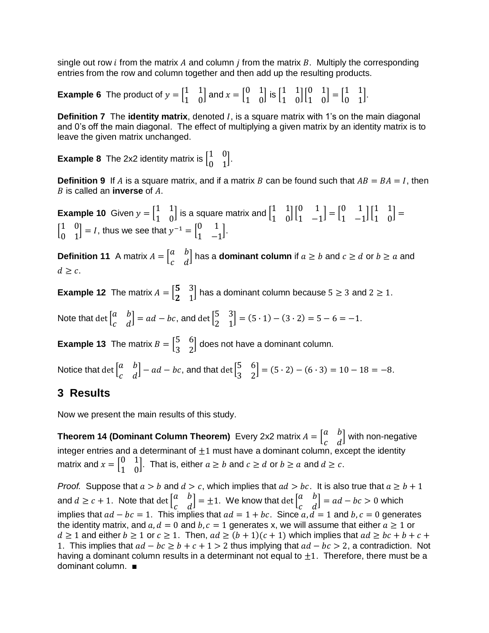single out row *i* from the matrix A and column *i* from the matrix B. Multiply the corresponding entries from the row and column together and then add up the resulting products.

**Example 6** The product of  $y = \begin{bmatrix} 1 \\ 1 \end{bmatrix}$  $\begin{bmatrix} 1 & 1 \\ 1 & 0 \end{bmatrix}$  and  $x = \begin{bmatrix} 0 \\ 1 \end{bmatrix}$  $\begin{bmatrix} 0 & 1 \\ 1 & 0 \end{bmatrix}$  is  $\begin{bmatrix} 1 \\ 1 \end{bmatrix}$  $\begin{bmatrix} 1 & 1 \\ 1 & 0 \end{bmatrix} \begin{bmatrix} 0 \\ 1 \end{bmatrix}$  $\begin{bmatrix} 0 & 1 \\ 1 & 0 \end{bmatrix} = \begin{bmatrix} 1 \\ 0 \end{bmatrix}$  $\begin{bmatrix} 1 & 1 \\ 0 & 1 \end{bmatrix}$ .

**Definition 7** The **identity matrix**, denoted *I*, is a square matrix with 1's on the main diagonal and 0's off the main diagonal. The effect of multiplying a given matrix by an identity matrix is to leave the given matrix unchanged.

**Example 8** The 2x2 identity matrix is  $\begin{bmatrix} 1 \\ 0 \end{bmatrix}$  $\begin{bmatrix} 1 & 0 \\ 0 & 1 \end{bmatrix}$ .

**Definition 9** If A is a square matrix, and if a matrix B can be found such that  $AB = BA = I$ , then  $B$  is called an **inverse** of  $A$ .

**Example 10** Given  $y = \begin{bmatrix} 1 \\ 1 \end{bmatrix}$  $\begin{bmatrix} 1 & 1 \\ 1 & 0 \end{bmatrix}$  is a square matrix and  $\begin{bmatrix} 1 \\ 1 \end{bmatrix}$  $\begin{bmatrix} 1 & 1 \\ 1 & 0 \end{bmatrix} \begin{bmatrix} 0 \\ 1 \end{bmatrix}$  $\begin{bmatrix} 0 & 1 \\ 1 & -1 \end{bmatrix} = \begin{bmatrix} 0 \\ 1 \end{bmatrix}$  $\begin{bmatrix} 0 & 1 \\ 1 & -1 \end{bmatrix} \begin{bmatrix} 1 \\ 1 \end{bmatrix}$  $\begin{bmatrix} 1 & 1 \\ 1 & 0 \end{bmatrix}$  $\begin{bmatrix} 1 \\ 2 \end{bmatrix}$  $\begin{bmatrix} 1 & 0 \\ 0 & 1 \end{bmatrix}$  = *I*, thus we see that  $y^{-1} = \begin{bmatrix} 0 \\ 1 \end{bmatrix}$  $\begin{bmatrix} 0 & 1 \\ 1 & -1 \end{bmatrix}$ .

**Definition 11** A matrix  $A = \begin{bmatrix} a & b \\ c & d \end{bmatrix}$  $\begin{bmatrix} a & b \ c & d \end{bmatrix}$  has a **dominant column** if  $a \ge b$  and  $c \ge d$  or  $b \ge a$  and  $d \geq c$ .

**Example 12** The matrix  $A = \begin{bmatrix} 5 \\ 2 \end{bmatrix}$  $\begin{bmatrix} 3 & 3 \\ 2 & 1 \end{bmatrix}$  has a dominant column because  $5 \ge 3$  and  $2 \ge 1$ .

Note that  $\det\left[ \begin{matrix} a & b \end{matrix} \right]$  $\begin{bmatrix} a & b \ c & d \end{bmatrix}$  =  $ad - bc$ , and  $\det \begin{bmatrix} 5 \ 2 \end{bmatrix}$  $\begin{bmatrix} 3 & 3 \\ 2 & 1 \end{bmatrix}$  = (5 · 1) – (3 · 2) = 5 – 6 = –1.

**Example 13** The matrix  $B = \begin{bmatrix} 5 \\ 2 \end{bmatrix}$  $\begin{bmatrix} 3 & 0 \\ 3 & 2 \end{bmatrix}$  does not have a dominant column.

Notice that det  $\int_a^b$  $\begin{bmatrix} a & b \ c & d \end{bmatrix}$  –  $ad - bc$ , and that  $\det \begin{bmatrix} 5 \ 3 \end{bmatrix}$  $\begin{bmatrix} 3 & 0 \\ 3 & 2 \end{bmatrix}$  = (5 · 2) – (6 · 3) = 10 – 18 = –8.

# **3 Results**

Now we present the main results of this study.

**Theorem 14 (Dominant Column Theorem)** Every 2x2 matrix  $A = \begin{bmatrix} a & b \end{bmatrix}$  $\begin{bmatrix} a & b \\ c & d \end{bmatrix}$  with non-negative integer entries and a determinant of  $\pm 1$  must have a dominant column, except the identity matrix and  $x = \begin{bmatrix} 0 \\ 1 \end{bmatrix}$  $\begin{bmatrix} 0 & 1 \\ 1 & 0 \end{bmatrix}$ . That is, either  $a \ge b$  and  $c \ge d$  or  $b \ge a$  and  $d \ge c$ .

*Proof.* Suppose that  $a > b$  and  $d > c$ , which implies that  $ad > bc$ . It is also true that  $a \ge b + 1$ and  $d \geq c + 1$ . Note that  $\det \begin{bmatrix} a & b \end{bmatrix}$  $\begin{bmatrix} a & b \ c & d \end{bmatrix}$  =  $\pm 1$ . We know that  $\det \begin{bmatrix} a & b \ c & d \end{bmatrix}$  $\begin{bmatrix} a & b \\ c & d \end{bmatrix}$  = ad – bc > 0 which implies that  $ad - bc = 1$ . This implies that  $ad = 1 + bc$ . Since  $a, d = 1$  and  $b, c = 0$  generates the identity matrix, and  $a, d = 0$  and  $b, c = 1$  generates x, we will assume that either  $a \ge 1$  or  $d \geq 1$  and either  $b \geq 1$  or  $c \geq 1$ . Then,  $ad \geq (b+1)(c+1)$  which implies that  $ad \geq bc+b+c+1$ 1. This implies that  $ad - bc \ge b + c + 1 > 2$  thus implying that  $ad - bc > 2$ , a contradiction. Not having a dominant column results in a determinant not equal to  $\pm 1$ . Therefore, there must be a dominant column. ■